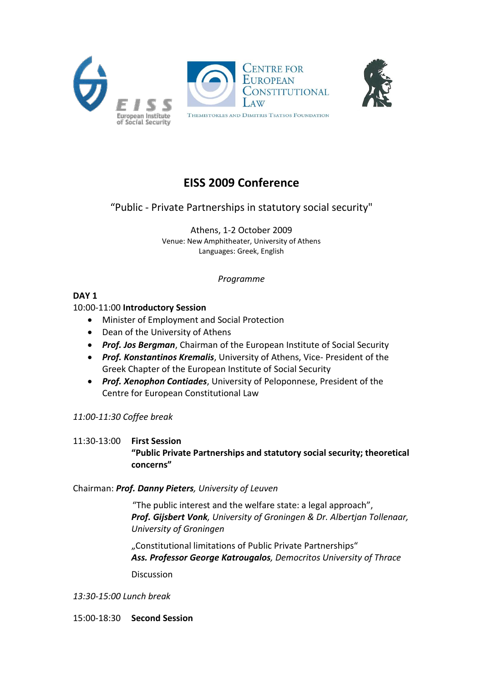





# **EISS 2009 Conference**

## "Public - Private Partnerships in statutory social security"

Athens, 1-2 October 2009 Venue: New Amphitheater, University of Athens Languages: Greek, English

*Programme*

## **DAY 1**

## 10:00-11:00 **Introductory Session**

- Minister of Employment and Social Protection
- Dean of the University of Athens
- *Prof. Jos Bergman*, Chairman of the European Institute of Social Security
- *Prof. Konstantinos Kremalis*, University of Athens, Vice- President of the Greek Chapter of the European Institute of Social Security
- *Prof. Xenophon Contiades*, University of Peloponnese, President of the Centre for European Constitutional Law

## *11:00-11:30 Coffee break*

## 11:30-13:00 **First Session "Public Private Partnerships and statutory social security; theoretical concerns"**

### Chairman: *Prof. Danny Pieters, University of Leuven*

"The public interest and the welfare state: a legal approach", *Prof. Gijsbert Vonk, University of Groningen & Dr. Albertjan Tollenaar, University of Groningen*

"Constitutional limitations of Public Private Partnerships" *Ass. Professor George Katrougalos, Democritos University of Thrace*

Discussion

*13:30-15:00 Lunch break* 

15:00-18:30 **Second Session**